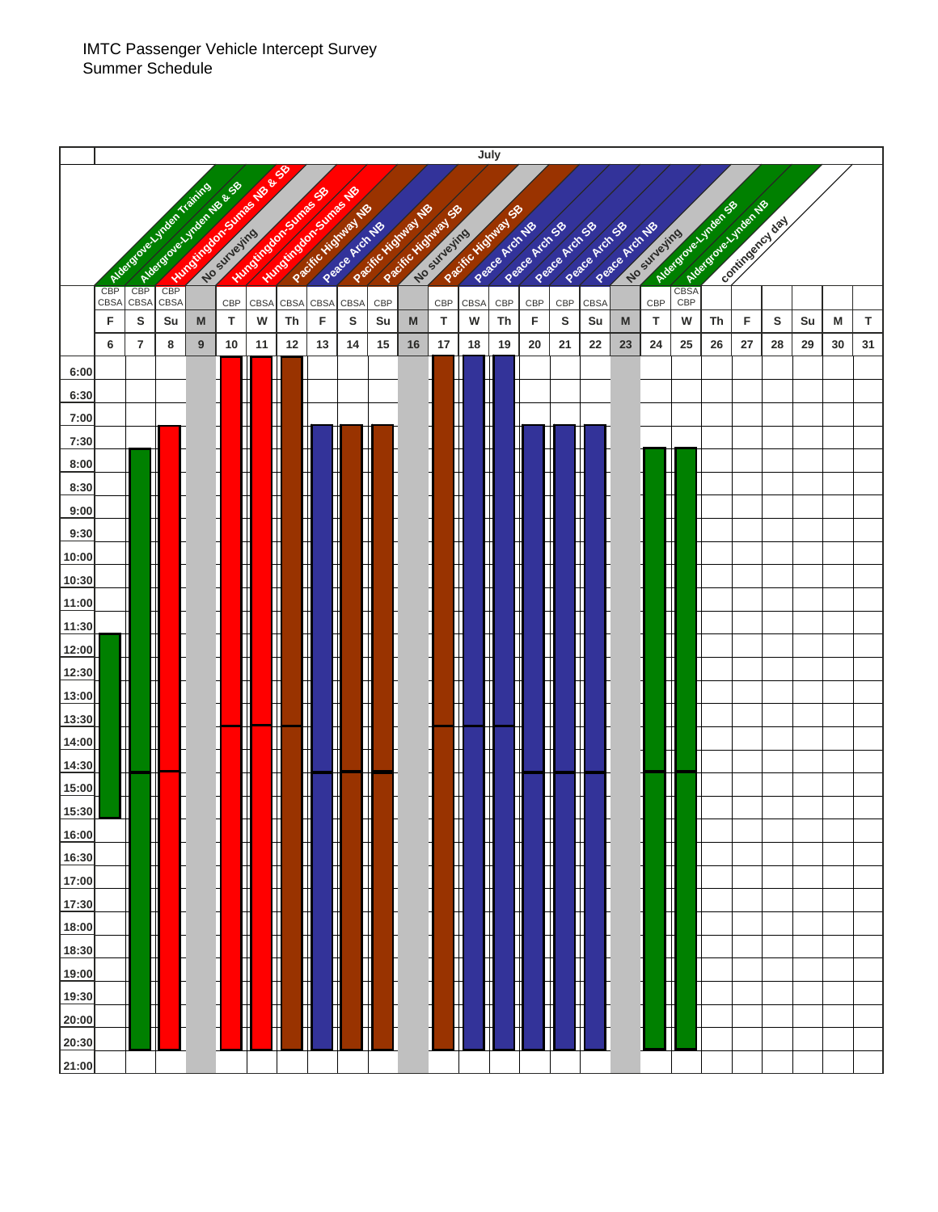|                |                                                                                                                                                                                                                                                                                                                                                 | July           |            |                  |          |           |                        |           |                          |           |    |              |                  |                          |               |                |                |             |              |    |    |    |                 |    |    |    |
|----------------|-------------------------------------------------------------------------------------------------------------------------------------------------------------------------------------------------------------------------------------------------------------------------------------------------------------------------------------------------|----------------|------------|------------------|----------|-----------|------------------------|-----------|--------------------------|-----------|----|--------------|------------------|--------------------------|---------------|----------------|----------------|-------------|--------------|----|----|----|-----------------|----|----|----|
|                | <b>ANTIQUES DESCRIPTION AND RESIDENCE</b><br><b>CBP Management Street Report</b><br>Addisor of a Ltr (per frances of<br><b>ANTIQUES DESCRIPTION</b><br><b>REGISTER DESCRIPTION OF PROPERTY</b><br>CEEAN ISLAND ROAD PORT ROAD<br>Active door of Michael St<br>Recite Management<br>Recite History No.<br>Recite Highway St<br>Recite Highway St |                |            |                  |          |           |                        |           |                          |           |    |              |                  |                          |               |                |                |             |              |    |    |    |                 |    |    |    |
|                |                                                                                                                                                                                                                                                                                                                                                 |                |            |                  |          |           |                        |           |                          |           |    |              |                  |                          |               |                |                |             |              |    |    |    |                 |    |    |    |
|                |                                                                                                                                                                                                                                                                                                                                                 |                |            |                  |          |           |                        |           | Peace Architect          |           |    | No surveying |                  | Peace Architect          | Rescentidos   | Pasce Archides | Pasce Archides | Rescendidos | No surgeling |    |    |    | Contingency day |    |    |    |
|                |                                                                                                                                                                                                                                                                                                                                                 |                |            |                  |          |           |                        |           |                          |           |    |              |                  |                          |               |                |                |             |              |    |    |    |                 |    |    |    |
|                | <b>CBP</b>                                                                                                                                                                                                                                                                                                                                      |                |            |                  |          |           |                        |           |                          |           |    |              |                  |                          |               |                |                |             |              |    |    |    |                 |    |    |    |
|                | CBSA<br>F                                                                                                                                                                                                                                                                                                                                       | CBSA<br>s      | CBSA<br>Su | M                | CBP<br>T | CBSA<br>W | CBSA<br>Th             | CBSA<br>F | CBSA<br>S                | CBP<br>Su | M  | CBP<br>т     | CBSA<br>W        | CBP<br>Th                | CBP<br>F      | CBP<br>S       | CBSA<br>Su     | M           | CBP<br>т     | W  | Th | F  | s               | Su | M  | т  |
|                | 6                                                                                                                                                                                                                                                                                                                                               | $\overline{7}$ | 8          | $\boldsymbol{9}$ | 10       | 11        | 12                     | 13        | 14                       | 15        | 16 | 17           | 18               | 19                       | 20            | 21             | 22             | 23          | 24           | 25 | 26 | 27 | 28              | 29 | 30 | 31 |
| 6:00           |                                                                                                                                                                                                                                                                                                                                                 |                |            |                  |          |           |                        |           |                          |           |    |              |                  |                          |               |                |                |             |              |    |    |    |                 |    |    |    |
| 6:30           |                                                                                                                                                                                                                                                                                                                                                 |                |            |                  |          |           |                        |           |                          |           |    |              |                  |                          |               |                |                |             |              |    |    |    |                 |    |    |    |
| 7:00           |                                                                                                                                                                                                                                                                                                                                                 |                |            |                  |          |           |                        |           |                          |           |    |              |                  |                          |               |                |                |             |              |    |    |    |                 |    |    |    |
| 7:30           |                                                                                                                                                                                                                                                                                                                                                 |                |            |                  |          |           |                        |           |                          |           |    |              |                  |                          |               |                |                |             |              |    |    |    |                 |    |    |    |
| 8:00           |                                                                                                                                                                                                                                                                                                                                                 |                |            |                  |          |           |                        |           |                          |           |    |              |                  |                          |               |                |                |             |              |    |    |    |                 |    |    |    |
| 8:30           |                                                                                                                                                                                                                                                                                                                                                 |                |            |                  |          |           |                        |           |                          |           |    |              |                  |                          |               |                |                |             |              |    |    |    |                 |    |    |    |
| 9:00           |                                                                                                                                                                                                                                                                                                                                                 |                |            |                  |          |           |                        |           | <br> <br> <br>           |           |    |              |                  |                          |               |                |                |             |              |    |    |    |                 |    |    |    |
| 9:30<br>10:00  |                                                                                                                                                                                                                                                                                                                                                 |                |            |                  |          |           |                        |           | ٦                        |           |    |              |                  |                          |               |                |                |             | T            |    |    |    |                 |    |    |    |
| 10:30          |                                                                                                                                                                                                                                                                                                                                                 |                |            |                  |          |           |                        |           | T                        |           |    |              |                  |                          |               |                |                |             | ┱            |    |    |    |                 |    |    |    |
| 11:00          |                                                                                                                                                                                                                                                                                                                                                 |                |            |                  |          |           |                        |           |                          |           |    |              |                  |                          |               |                |                |             |              |    |    |    |                 |    |    |    |
| 11:30          |                                                                                                                                                                                                                                                                                                                                                 |                |            |                  |          |           |                        |           | ┑                        |           |    |              |                  |                          |               |                |                |             | T            |    |    |    |                 |    |    |    |
| 12:00          |                                                                                                                                                                                                                                                                                                                                                 |                |            |                  |          |           |                        |           | T                        |           |    |              |                  |                          |               |                |                |             | T            |    |    |    |                 |    |    |    |
| 12:30          |                                                                                                                                                                                                                                                                                                                                                 |                |            |                  |          |           |                        |           |                          |           |    |              |                  |                          |               |                |                |             |              |    |    |    |                 |    |    |    |
| 13:00          |                                                                                                                                                                                                                                                                                                                                                 |                |            |                  |          |           |                        |           |                          |           |    |              |                  |                          |               |                |                |             | ┱            |    |    |    |                 |    |    |    |
| 13:30          |                                                                                                                                                                                                                                                                                                                                                 |                |            |                  |          |           |                        |           |                          |           |    |              |                  |                          |               |                |                |             |              |    |    |    |                 |    |    |    |
| 14:00          |                                                                                                                                                                                                                                                                                                                                                 |                |            |                  |          |           |                        |           |                          |           |    |              |                  |                          |               |                |                |             |              |    |    |    |                 |    |    |    |
| 14:30<br>15:00 |                                                                                                                                                                                                                                                                                                                                                 |                |            |                  |          |           |                        |           |                          |           |    |              |                  |                          |               |                |                |             |              |    |    |    |                 |    |    |    |
| 15:30          |                                                                                                                                                                                                                                                                                                                                                 |                |            |                  |          |           |                        |           | $\overline{\phantom{0}}$ |           |    |              |                  |                          |               |                |                |             |              |    |    |    |                 |    |    |    |
| 16:00          |                                                                                                                                                                                                                                                                                                                                                 |                |            |                  |          |           |                        |           | T                        |           |    |              |                  |                          |               |                |                |             |              |    |    |    |                 |    |    |    |
| 16:30          |                                                                                                                                                                                                                                                                                                                                                 | ╅              |            |                  |          | H         | T<br>╫                 | Π<br>Ħ    | ╶╎╶╴┆                    |           |    |              |                  | ║                        |               |                | ϯ              |             |              |    |    |    |                 |    |    |    |
| 17:00          |                                                                                                                                                                                                                                                                                                                                                 | T<br>T         |            |                  |          | H         | H                      | M         |                          |           |    |              | ╈<br>$\mathsf T$ | Π                        |               |                | $\mathsf T$    |             | ╅            |    |    |    |                 |    |    |    |
| 17:30          |                                                                                                                                                                                                                                                                                                                                                 |                |            |                  |          | Н         | ╫                      | M         |                          |           |    |              |                  | $\overline{\phantom{0}}$ |               |                | Ť              |             | ╫            |    |    |    |                 |    |    |    |
| 18:00          |                                                                                                                                                                                                                                                                                                                                                 |                |            |                  |          | Ħ         | $\left  \cdot \right $ | H         |                          |           |    |              |                  | H                        |               |                | $^\dagger$     |             | ╫            |    |    |    |                 |    |    |    |
| 18:30          |                                                                                                                                                                                                                                                                                                                                                 |                |            |                  |          | Ħ         | Ħ                      | Ħ         |                          |           |    |              |                  | $\frac{1}{1}$            |               |                | T              |             | ╫            |    |    |    |                 |    |    |    |
| 19:00          |                                                                                                                                                                                                                                                                                                                                                 | ┪              |            |                  |          | T         | ╫                      |           | ╶                        |           |    |              | ╫<br>╅           |                          |               |                | $\mathbb T$    |             | Н            |    |    |    |                 |    |    |    |
| 19:30          |                                                                                                                                                                                                                                                                                                                                                 | ╫              |            |                  |          | ╫         | ╫                      |           | $\frac{1}{\sqrt{2}}$     |           |    |              | $\mathsf{+}$     | $\overline{a}$           |               |                | T              |             | ╅            |    |    |    |                 |    |    |    |
| 20:00<br>20:30 |                                                                                                                                                                                                                                                                                                                                                 | ╫              |            |                  |          |           |                        |           | $\hspace{.05cm} +$       |           |    |              |                  |                          | $\mathcal{L}$ |                | t              |             | ╅            |    |    |    |                 |    |    |    |
| 21:00          |                                                                                                                                                                                                                                                                                                                                                 |                |            |                  |          |           |                        |           |                          |           |    |              |                  |                          |               |                |                |             |              |    |    |    |                 |    |    |    |
|                |                                                                                                                                                                                                                                                                                                                                                 |                |            |                  |          |           |                        |           |                          |           |    |              |                  |                          |               |                |                |             |              |    |    |    |                 |    |    |    |